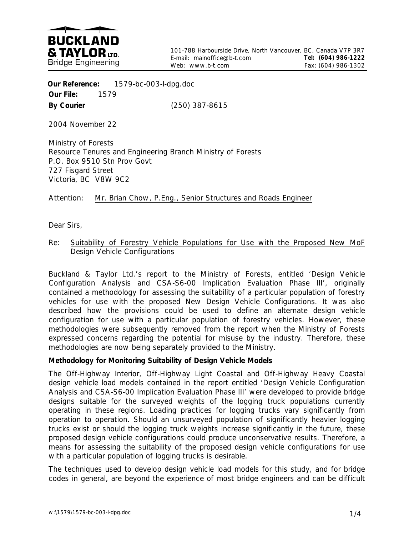

 **Our Reference:** 1579-bc-003-l-dpg.doc **Our File:** 1579 **By Courier** (250) 387-8615

2004 November 22

Ministry of Forests Resource Tenures and Engineering Branch Ministry of Forests P.O. Box 9510 Stn Prov Govt 727 Fisgard Street Victoria, BC V8W 9C2

Attention: Mr. Brian Chow, P.Eng., Senior Structures and Roads Engineer

Dear Sirs,

## Re: Suitability of Forestry Vehicle Populations for Use with the Proposed New MoF Design Vehicle Configurations

Buckland & Taylor Ltd.'s report to the Ministry of Forests, entitled 'Design Vehicle Configuration Analysis and CSA-S6-00 Implication Evaluation Phase III', originally contained a methodology for assessing the suitability of a particular population of forestry vehicles for use with the proposed New Design Vehicle Configurations. It was also described how the provisions could be used to define an alternate design vehicle configuration for use with a particular population of forestry vehicles. However, these methodologies were subsequently removed from the report when the Ministry of Forests expressed concerns regarding the potential for misuse by the industry. Therefore, these methodologies are now being separately provided to the Ministry.

## **Methodology for Monitoring Suitability of Design Vehicle Models**

The Off-Highway Interior, Off-Highway Light Coastal and Off-Highway Heavy Coastal design vehicle load models contained in the report entitled 'Design Vehicle Configuration Analysis and CSA-S6-00 Implication Evaluation Phase III' were developed to provide bridge designs suitable for the surveyed weights of the logging truck populations currently operating in these regions. Loading practices for logging trucks vary significantly from operation to operation. Should an unsurveyed population of significantly heavier logging trucks exist or should the logging truck weights increase significantly in the future, these proposed design vehicle configurations could produce unconservative results. Therefore, a means for assessing the suitability of the proposed design vehicle configurations for use with a particular population of logging trucks is desirable.

The techniques used to develop design vehicle load models for this study, and for bridge codes in general, are beyond the experience of most bridge engineers and can be difficult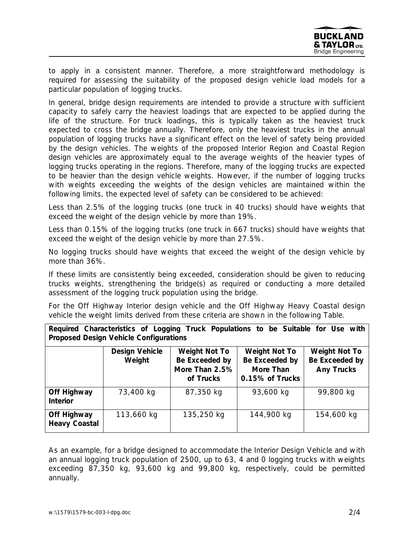to apply in a consistent manner. Therefore, a more straightforward methodology is required for assessing the suitability of the proposed design vehicle load models for a particular population of logging trucks.

In general, bridge design requirements are intended to provide a structure with sufficient capacity to safely carry the heaviest loadings that are expected to be applied during the life of the structure. For truck loadings, this is typically taken as the heaviest truck expected to cross the bridge annually. Therefore, only the heaviest trucks in the annual population of logging trucks have a significant effect on the level of safety being provided by the design vehicles. The weights of the proposed Interior Region and Coastal Region design vehicles are approximately equal to the average weights of the heavier types of logging trucks operating in the regions. Therefore, many of the logging trucks are expected to be heavier than the design vehicle weights. However, if the number of logging trucks with weights exceeding the weights of the design vehicles are maintained within the following limits, the expected level of safety can be considered to be achieved:

Less than 2.5% of the logging trucks (one truck in 40 trucks) should have weights that exceed the weight of the design vehicle by more than 19%.

Less than 0.15% of the logging trucks (one truck in 667 trucks) should have weights that exceed the weight of the design vehicle by more than 27.5%.

No logging trucks should have weights that exceed the weight of the design vehicle by more than 36%.

If these limits are consistently being exceeded, consideration should be given to reducing trucks weights, strengthening the bridge(s) as required or conducting a more detailed assessment of the logging truck population using the bridge.

For the Off Highway Interior design vehicle and the Off Highway Heavy Coastal design vehicle the weight limits derived from these criteria are shown in the following Table.

| Required Characteristics of Logging Truck Populations to be Suitable for Use with<br><b>Proposed Design Vehicle Configurations</b> |                                 |                                                                       |                                                                        |                                                             |
|------------------------------------------------------------------------------------------------------------------------------------|---------------------------------|-----------------------------------------------------------------------|------------------------------------------------------------------------|-------------------------------------------------------------|
|                                                                                                                                    | <b>Design Vehicle</b><br>Weight | <b>Weight Not To</b><br>Be Exceeded by<br>More Than 2.5%<br>of Trucks | <b>Weight Not To</b><br>Be Exceeded by<br>More Than<br>0.15% of Trucks | <b>Weight Not To</b><br>Be Exceeded by<br><b>Any Trucks</b> |
| <b>Off Highway</b><br><b>Interior</b>                                                                                              | 73,400 kg                       | 87,350 kg                                                             | 93,600 kg                                                              | 99,800 kg                                                   |
| <b>Off Highway</b><br><b>Heavy Coastal</b>                                                                                         | 113,660 kg                      | 135,250 kg                                                            | 144,900 kg                                                             | 154,600 kg                                                  |

As an example, for a bridge designed to accommodate the Interior Design Vehicle and with an annual logging truck population of 2500, up to 63, 4 and 0 logging trucks with weights exceeding 87,350 kg, 93,600 kg and 99,800 kg, respectively, could be permitted annually.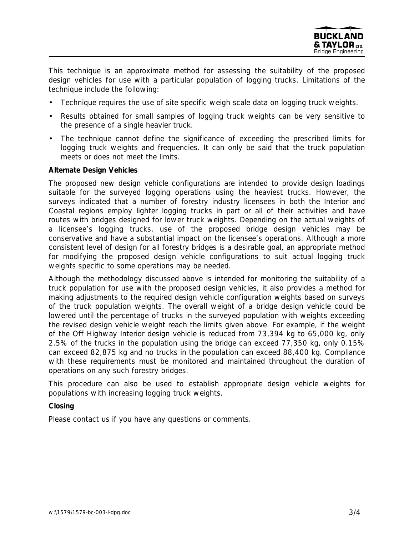

This technique is an approximate method for assessing the suitability of the proposed design vehicles for use with a particular population of logging trucks. Limitations of the technique include the following:

- Technique requires the use of site specific weigh scale data on logging truck weights.
- Results obtained for small samples of logging truck weights can be very sensitive to the presence of a single heavier truck.
- The technique cannot define the significance of exceeding the prescribed limits for logging truck weights and frequencies. It can only be said that the truck population meets or does not meet the limits.

## **Alternate Design Vehicles**

The proposed new design vehicle configurations are intended to provide design loadings suitable for the surveyed logging operations using the heaviest trucks. However, the surveys indicated that a number of forestry industry licensees in both the Interior and Coastal regions employ lighter logging trucks in part or all of their activities and have routes with bridges designed for lower truck weights. Depending on the actual weights of a licensee's logging trucks, use of the proposed bridge design vehicles may be conservative and have a substantial impact on the licensee's operations. Although a more consistent level of design for all forestry bridges is a desirable goal, an appropriate method for modifying the proposed design vehicle configurations to suit actual logging truck weights specific to some operations may be needed.

Although the methodology discussed above is intended for monitoring the suitability of a truck population for use with the proposed design vehicles, it also provides a method for making adjustments to the required design vehicle configuration weights based on surveys of the truck population weights. The overall weight of a bridge design vehicle could be lowered until the percentage of trucks in the surveyed population with weights exceeding the revised design vehicle weight reach the limits given above. For example, if the weight of the Off Highway Interior design vehicle is reduced from 73,394 kg to 65,000 kg, only 2.5% of the trucks in the population using the bridge can exceed 77,350 kg, only 0.15% can exceed 82,875 kg and no trucks in the population can exceed 88,400 kg. Compliance with these requirements must be monitored and maintained throughout the duration of operations on any such forestry bridges.

This procedure can also be used to establish appropriate design vehicle weights for populations with increasing logging truck weights.

## **Closing**

Please contact us if you have any questions or comments.